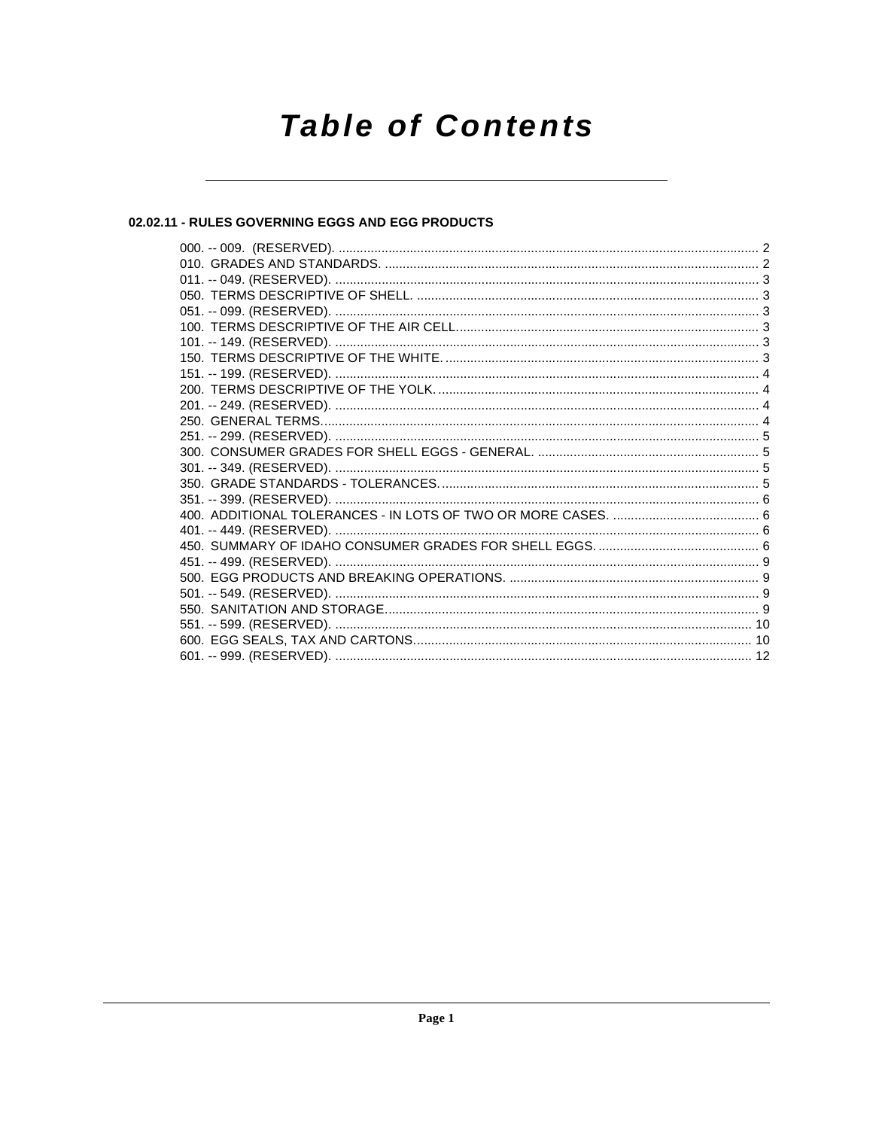# **Table of Contents**

# 02.02.11 - RULES GOVERNING EGGS AND EGG PRODUCTS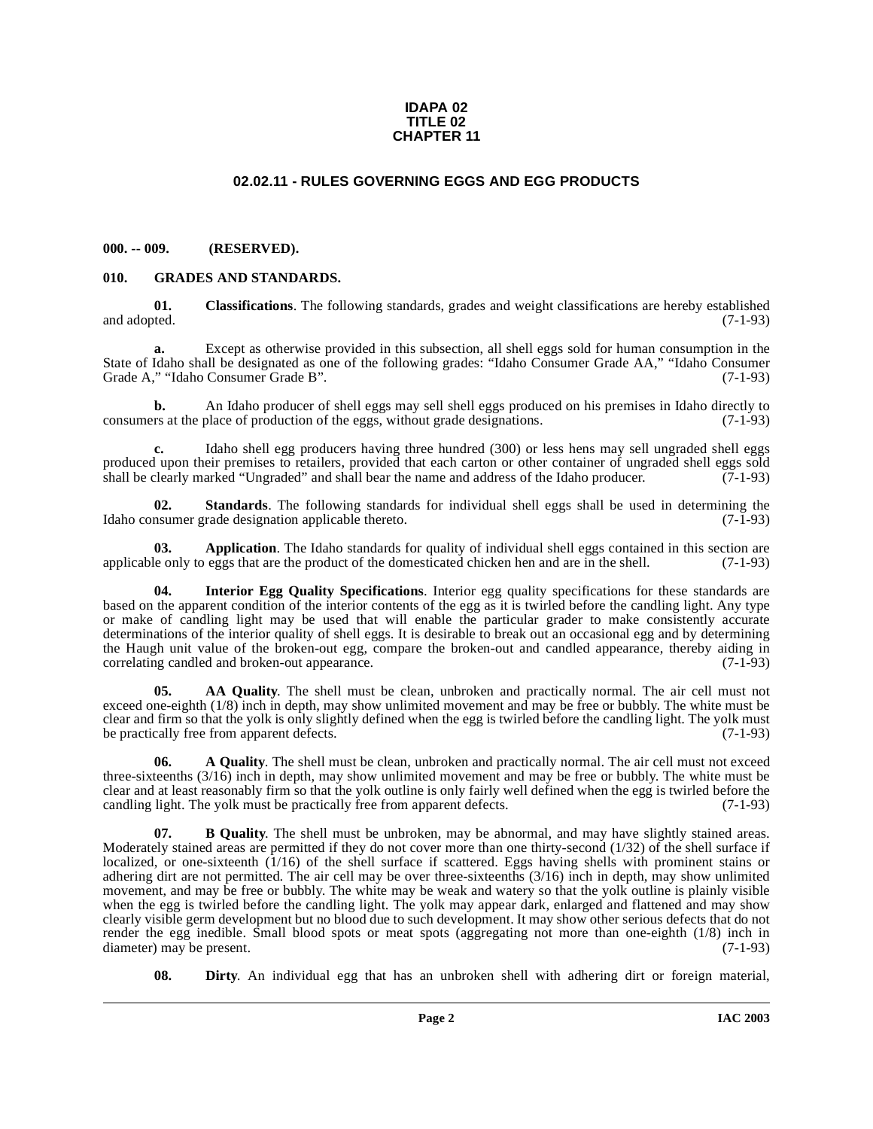#### **IDAPA 02 TITLE 02 CHAPTER 11**

# **02.02.11 - RULES GOVERNING EGGS AND EGG PRODUCTS**

#### <span id="page-1-1"></span><span id="page-1-0"></span>**000. -- 009. (RESERVED).**

#### <span id="page-1-7"></span><span id="page-1-2"></span>**010. GRADES AND STANDARDS.**

<span id="page-1-6"></span>**01.** Classifications. The following standards, grades and weight classifications are hereby established and adopted. (7-1-93) and adopted. (7-1-93)

Except as otherwise provided in this subsection, all shell eggs sold for human consumption in the State of Idaho shall be designated as one of the following grades: "Idaho Consumer Grade AA," "Idaho Consumer Grade A," "Idaho Consumer Grade B".

**b.** An Idaho producer of shell eggs may sell shell eggs produced on his premises in Idaho directly to consumers at the place of production of the eggs, without grade designations. (7-1-93)

**c.** Idaho shell egg producers having three hundred (300) or less hens may sell ungraded shell eggs produced upon their premises to retailers, provided that each carton or other container of ungraded shell eggs sold<br>shall be clearly marked "Ungraded" and shall bear the name and address of the Idaho producer. (7-1-93) shall be clearly marked "Ungraded" and shall bear the name and address of the Idaho producer.

<span id="page-1-9"></span>**02.** Standards. The following standards for individual shell eggs shall be used in determining the nsumer grade designation applicable thereto. (7-1-93) Idaho consumer grade designation applicable thereto.

**03. Application**. The Idaho standards for quality of individual shell eggs contained in this section are le only to eggs that are the product of the domesticated chicken hen and are in the shell. (7-1-93) applicable only to eggs that are the product of the domesticated chicken hen and are in the shell.

<span id="page-1-8"></span>**04. Interior Egg Quality Specifications**. Interior egg quality specifications for these standards are based on the apparent condition of the interior contents of the egg as it is twirled before the candling light. Any type or make of candling light may be used that will enable the particular grader to make consistently accurate determinations of the interior quality of shell eggs. It is desirable to break out an occasional egg and by determining the Haugh unit value of the broken-out egg, compare the broken-out and candled appearance, thereby aiding in correlating candled and broken-out appearance. (7-1-93) correlating candled and broken-out appearance.

<span id="page-1-4"></span>**05. AA Quality**. The shell must be clean, unbroken and practically normal. The air cell must not exceed one-eighth (1/8) inch in depth, may show unlimited movement and may be free or bubbly. The white must be clear and firm so that the yolk is only slightly defined when the egg is twirled before the candling light. The yolk must be practically free from apparent defects. (7-1-93)

<span id="page-1-3"></span>**06.** A Quality. The shell must be clean, unbroken and practically normal. The air cell must not exceed three-sixteenths (3/16) inch in depth, may show unlimited movement and may be free or bubbly. The white must be clear and at least reasonably firm so that the yolk outline is only fairly well defined when the egg is twirled before the candling light. The yolk must be practically free from apparent defects. (7-1-93)

<span id="page-1-5"></span>**07. B Quality**. The shell must be unbroken, may be abnormal, and may have slightly stained areas. Moderately stained areas are permitted if they do not cover more than one thirty-second (1/32) of the shell surface if localized, or one-sixteenth (1/16) of the shell surface if scattered. Eggs having shells with prominent stains or adhering dirt are not permitted. The air cell may be over three-sixteenths (3/16) inch in depth, may show unlimited movement, and may be free or bubbly. The white may be weak and watery so that the yolk outline is plainly visible when the egg is twirled before the candling light. The yolk may appear dark, enlarged and flattened and may show clearly visible germ development but no blood due to such development. It may show other serious defects that do not render the egg inedible. Small blood spots or meat spots (aggregating not more than one-eighth (1/8) inch in diameter) may be present. (7-1-93)

**08. Dirty**. An individual egg that has an unbroken shell with adhering dirt or foreign material,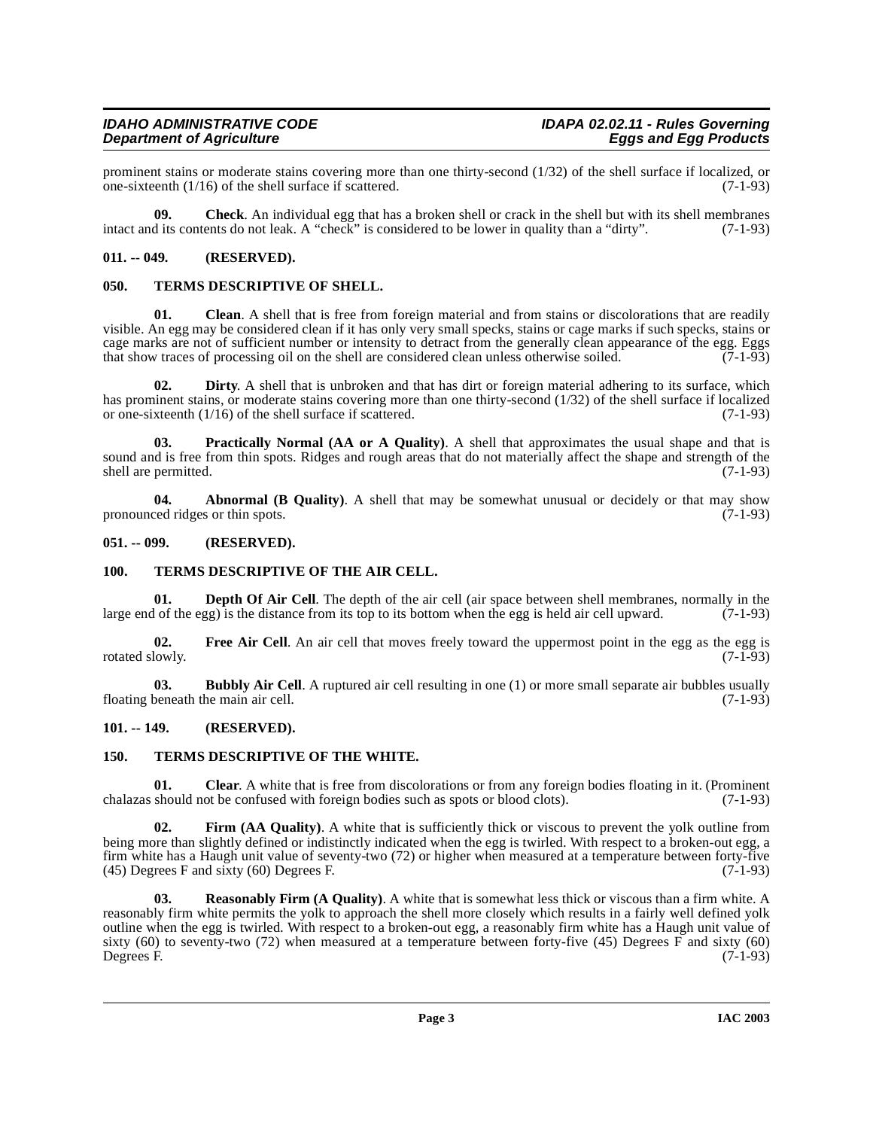prominent stains or moderate stains covering more than one thirty-second (1/32) of the shell surface if localized, or one-sixteenth (1/16) of the shell surface if scattered.  $(7-1-93)$ one-sixteenth  $(1/16)$  of the shell surface if scattered.

**09. Check**. An individual egg that has a broken shell or crack in the shell but with its shell membranes intact and its contents do not leak. A "check" is considered to be lower in quality than a "dirty". (7-1-93)

### <span id="page-2-0"></span>**011. -- 049. (RESERVED).**

#### <span id="page-2-10"></span><span id="page-2-1"></span>**050. TERMS DESCRIPTIVE OF SHELL.**

**01.** Clean. A shell that is free from foreign material and from stains or discolorations that are readily visible. An egg may be considered clean if it has only very small specks, stains or cage marks if such specks, stains or cage marks are not of sufficient number or intensity to detract from the generally clean appearance of the egg. Eggs<br>that show traces of processing oil on the shell are considered clean unless otherwise soiled. (7-1-93) that show traces of processing oil on the shell are considered clean unless otherwise soiled.

**02. Dirty**. A shell that is unbroken and that has dirt or foreign material adhering to its surface, which has prominent stains, or moderate stains covering more than one thirty-second (1/32) of the shell surface if localized<br>or one-sixteenth (1/16) of the shell surface if scattered. or one-sixteenth  $(1/16)$  of the shell surface if scattered.

<span id="page-2-9"></span>**Practically Normal (AA or A Quality)**. A shell that approximates the usual shape and that is sound and is free from thin spots. Ridges and rough areas that do not materially affect the shape and strength of the shall are permitted. (7-1-93) shell are permitted.

**04. Abnormal (B Quality)**. A shell that may be somewhat unusual or decidely or that may show pronounced ridges or thin spots. (7-1-93)

#### <span id="page-2-2"></span>**051. -- 099. (RESERVED).**

### <span id="page-2-11"></span><span id="page-2-7"></span><span id="page-2-3"></span>**100. TERMS DESCRIPTIVE OF THE AIR CELL.**

**01. Depth Of Air Cell**. The depth of the air cell (air space between shell membranes, normally in the l of the egg) is the distance from its top to its bottom when the egg is held air cell upward. (7-1-93) large end of the egg) is the distance from its top to its bottom when the egg is held air cell upward.

<span id="page-2-8"></span>**02.** Free Air Cell. An air cell that moves freely toward the uppermost point in the egg as the egg is rotated slowly. (7-1-93)

<span id="page-2-6"></span>**03. Bubbly Air Cell**. A ruptured air cell resulting in one (1) or more small separate air bubbles usually beneath the main air cell. (7-1-93) floating beneath the main air cell.

#### <span id="page-2-4"></span>**101. -- 149. (RESERVED).**

# <span id="page-2-12"></span><span id="page-2-5"></span>**150. TERMS DESCRIPTIVE OF THE WHITE.**

**01.** Clear. A white that is free from discolorations or from any foreign bodies floating in it. (Prominent should not be confused with foreign bodies such as spots or blood clots). (7-1-93) chalazas should not be confused with foreign bodies such as spots or blood clots).

**02. Firm (AA Quality)**. A white that is sufficiently thick or viscous to prevent the yolk outline from being more than slightly defined or indistinctly indicated when the egg is twirled. With respect to a broken-out egg, a firm white has a Haugh unit value of seventy-two (72) or higher when measured at a temperature between forty-five (45) Degrees F and sixty (60) Degrees F.  $(45)$  Degrees F and sixty  $(60)$  Degrees F.

**Reasonably Firm (A Quality).** A white that is somewhat less thick or viscous than a firm white. A reasonably firm white permits the yolk to approach the shell more closely which results in a fairly well defined yolk outline when the egg is twirled. With respect to a broken-out egg, a reasonably firm white has a Haugh unit value of sixty (60) to seventy-two (72) when measured at a temperature between forty-five (45) Degrees  $\overline{F}$  and sixty (60) Degrees F. (7-1-93) Degrees F. (7-1-93)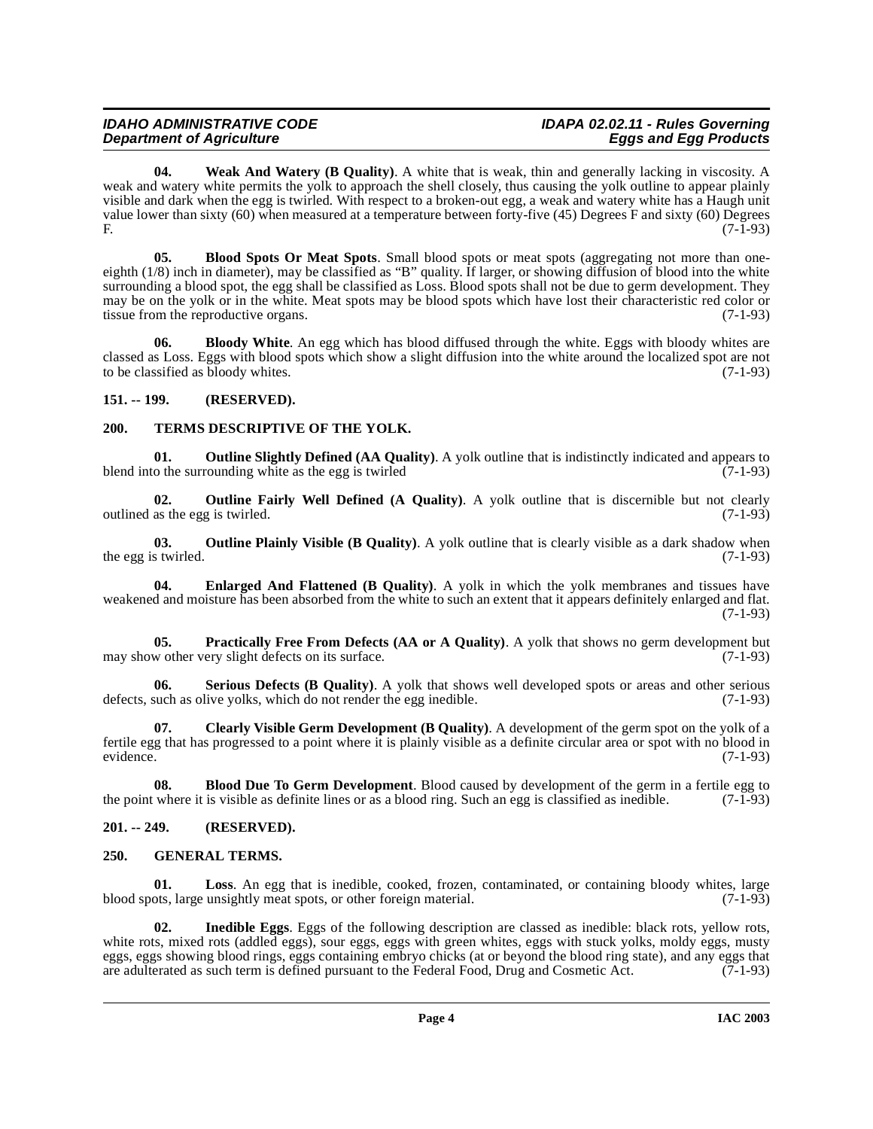**04. Weak And Watery (B Quality)**. A white that is weak, thin and generally lacking in viscosity. A weak and watery white permits the yolk to approach the shell closely, thus causing the yolk outline to appear plainly visible and dark when the egg is twirled. With respect to a broken-out egg, a weak and watery white has a Haugh unit value lower than sixty (60) when measured at a temperature between forty-five (45) Degrees F and sixty (60) Degrees F. (7-1-93)

<span id="page-3-5"></span>**05. Blood Spots Or Meat Spots**. Small blood spots or meat spots (aggregating not more than oneeighth (1/8) inch in diameter), may be classified as "B" quality. If larger, or showing diffusion of blood into the white surrounding a blood spot, the egg shall be classified as Loss. Blood spots shall not be due to germ development. They may be on the yolk or in the white. Meat spots may be blood spots which have lost their characteristic red color or tissue from the reproductive organs. (7-1-93)

<span id="page-3-6"></span>**06. Bloody White**. An egg which has blood diffused through the white. Eggs with bloody whites are classed as Loss. Eggs with blood spots which show a slight diffusion into the white around the localized spot are not to be classified as bloody whites. (7-1-93)

# <span id="page-3-0"></span>**151. -- 199. (RESERVED).**

# <span id="page-3-17"></span><span id="page-3-1"></span>**200. TERMS DESCRIPTIVE OF THE YOLK.**

<span id="page-3-14"></span>**01. Outline Slightly Defined (AA Quality)**. A yolk outline that is indistinctly indicated and appears to o the surrounding white as the egg is twirled blend into the surrounding white as the egg is twirled

<span id="page-3-12"></span>**02. Outline Fairly Well Defined (A Quality)**. A yolk outline that is discernible but not clearly outlined as the egg is twirled. (7-1-93)

<span id="page-3-13"></span>**03. Outline Plainly Visible (B Quality)**. A yolk outline that is clearly visible as a dark shadow when s twirled. (7-1-93) the egg is twirled.

<span id="page-3-8"></span>**04. Enlarged And Flattened (B Quality)**. A yolk in which the yolk membranes and tissues have weakened and moisture has been absorbed from the white to such an extent that it appears definitely enlarged and flat. (7-1-93)

<span id="page-3-15"></span>**05. Practically Free From Defects (AA or A Quality)**. A yolk that shows no germ development but w other very slight defects on its surface. (7-1-93) may show other very slight defects on its surface.

<span id="page-3-16"></span>**Serious Defects (B Quality)**. A yolk that shows well developed spots or areas and other serious live yolks, which do not render the egg inedible. (7-1-93) defects, such as olive yolks, which do not render the egg inedible.

<span id="page-3-7"></span>**07. Clearly Visible Germ Development (B Quality)**. A development of the germ spot on the yolk of a fertile egg that has progressed to a point where it is plainly visible as a definite circular area or spot with no blood in evidence. (7-1-93)

<span id="page-3-4"></span>**08. Blood Due To Germ Development**. Blood caused by development of the germ in a fertile egg to the point where it is visible as definite lines or as a blood ring. Such an egg is classified as inedible. (7-1-93)

# <span id="page-3-2"></span>**201. -- 249. (RESERVED).**

# <span id="page-3-9"></span><span id="page-3-3"></span>**250. GENERAL TERMS.**

<span id="page-3-11"></span>**01. Loss**. An egg that is inedible, cooked, frozen, contaminated, or containing bloody whites, large blood spots, large unsightly meat spots, or other foreign material. (7-1-93)

<span id="page-3-10"></span>**02. Inedible Eggs**. Eggs of the following description are classed as inedible: black rots, yellow rots, white rots, mixed rots (addled eggs), sour eggs, eggs with green whites, eggs with stuck yolks, moldy eggs, musty eggs, eggs showing blood rings, eggs containing embryo chicks (at or beyond the blood ring state), and any eggs that are adulterated as such term is defined pursuant to the Federal Food, Drug and Cosmetic Act. (7-1-93)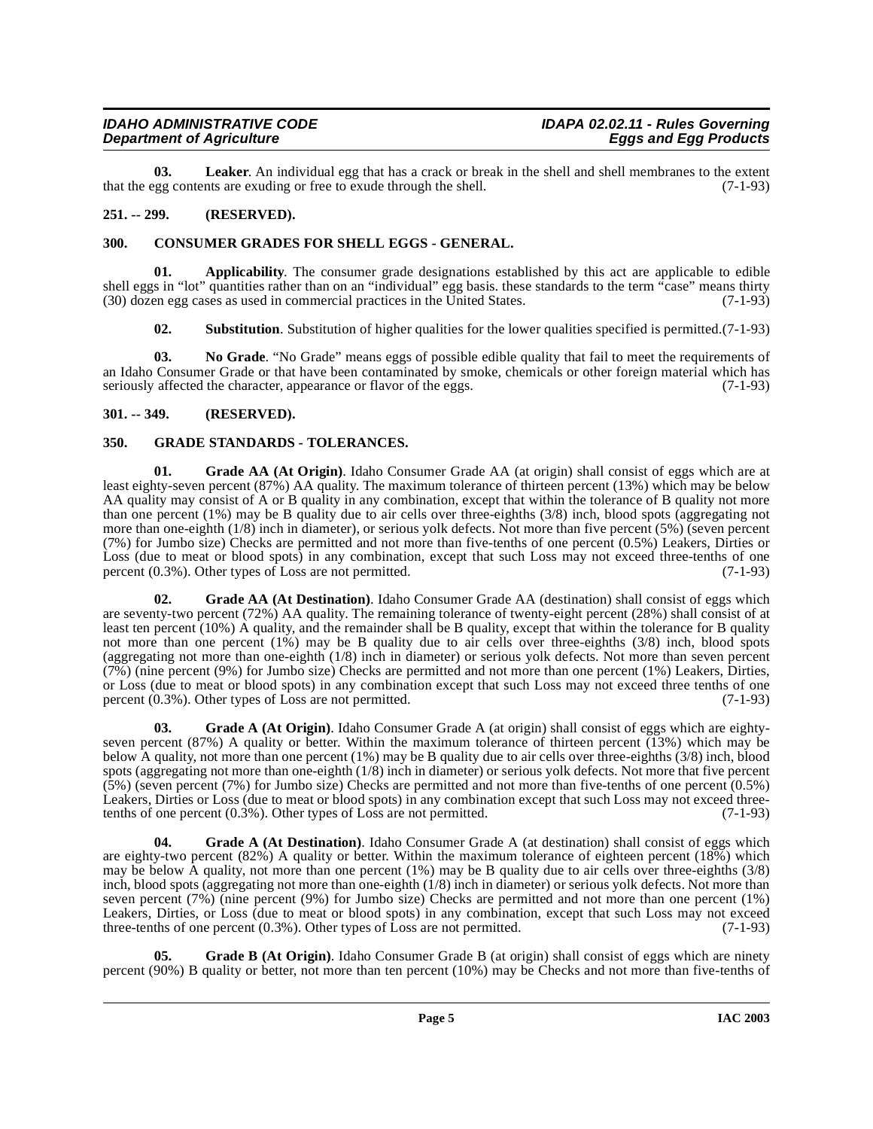# **Department of Agriculture**

<span id="page-4-12"></span>**03. Leaker**. An individual egg that has a crack or break in the shell and shell membranes to the extent that the egg contents are exuding or free to exude through the shell. (7-1-93)

# <span id="page-4-0"></span>**251. -- 299. (RESERVED).**

# <span id="page-4-5"></span><span id="page-4-1"></span>**300. CONSUMER GRADES FOR SHELL EGGS - GENERAL.**

**01. Applicability**. The consumer grade designations established by this act are applicable to edible shell eggs in "lot" quantities rather than on an "individual" egg basis. these standards to the term "case" means thirty (30) dozen egg cases as used in commercial practices in the United States. (7-1-93)

<span id="page-4-14"></span><span id="page-4-13"></span><span id="page-4-4"></span>**02. Substitution**. Substitution of higher qualities for the lower qualities specified is permitted.(7-1-93)

**03. No Grade**. "No Grade" means eggs of possible edible quality that fail to meet the requirements of an Idaho Consumer Grade or that have been contaminated by smoke, chemicals or other foreign material which has seriously affected the character, appearance or flavor of the eggs.  $(7-1-93)$ 

# <span id="page-4-2"></span>**301. -- 349. (RESERVED).**

# <span id="page-4-11"></span><span id="page-4-3"></span>**350. GRADE STANDARDS - TOLERANCES.**

<span id="page-4-9"></span>**01. Grade AA (At Origin)**. Idaho Consumer Grade AA (at origin) shall consist of eggs which are at least eighty-seven percent (87%) AA quality. The maximum tolerance of thirteen percent (13%) which may be below AA quality may consist of A or B quality in any combination, except that within the tolerance of B quality not more than one percent (1%) may be B quality due to air cells over three-eighths (3/8) inch, blood spots (aggregating not more than one-eighth (1/8) inch in diameter), or serious yolk defects. Not more than five percent (5%) (seven percent (7%) for Jumbo size) Checks are permitted and not more than five-tenths of one percent (0.5%) Leakers, Dirties or Loss (due to meat or blood spots) in any combination, except that such Loss may not exceed three-tenths of one percent (0.3%). Other types of Loss are not permitted. (7-1-93) percent  $(0.3\%)$ . Other types of Loss are not permitted.

<span id="page-4-8"></span>Grade AA (At Destination). Idaho Consumer Grade AA (destination) shall consist of eggs which are seventy-two percent (72%) AA quality. The remaining tolerance of twenty-eight percent (28%) shall consist of at least ten percent (10%) A quality, and the remainder shall be B quality, except that within the tolerance for B quality not more than one percent (1%) may be B quality due to air cells over three-eighths (3/8) inch, blood spots (aggregating not more than one-eighth (1/8) inch in diameter) or serious yolk defects. Not more than seven percent (7%) (nine percent (9%) for Jumbo size) Checks are permitted and not more than one percent (1%) Leakers, Dirties, or Loss (due to meat or blood spots) in any combination except that such Loss may not exceed three tenths of one percent (0.3%). Other types of Loss are not permitted. (7-1-93)

<span id="page-4-7"></span>**03. Grade A (At Origin)**. Idaho Consumer Grade A (at origin) shall consist of eggs which are eightyseven percent (87%) A quality or better. Within the maximum tolerance of thirteen percent (13%) which may be below A quality, not more than one percent (1%) may be B quality due to air cells over three-eighths (3/8) inch, blood spots (aggregating not more than one-eighth (1/8) inch in diameter) or serious yolk defects. Not more that five percent (5%) (seven percent (7%) for Jumbo size) Checks are permitted and not more than five-tenths of one percent (0.5%) Leakers, Dirties or Loss (due to meat or blood spots) in any combination except that such Loss may not exceed three-<br>tenths of one percent (0.3%). Other types of Loss are not permitted. (7-1-93) tenths of one percent  $(0.3\%)$ . Other types of Loss are not permitted.

<span id="page-4-6"></span>**Grade A (At Destination).** Idaho Consumer Grade A (at destination) shall consist of eggs which are eighty-two percent (82%) A quality or better. Within the maximum tolerance of eighteen percent (18%) which may be below A quality, not more than one percent (1%) may be B quality due to air cells over three-eighths (3/8) inch, blood spots (aggregating not more than one-eighth (1/8) inch in diameter) or serious yolk defects. Not more than seven percent (7%) (nine percent (9%) for Jumbo size) Checks are permitted and not more than one percent (1%) Leakers, Dirties, or Loss (due to meat or blood spots) in any combination, except that such Loss may not exceed three-tenths of one percent  $(0.3\%)$ . Other types of Loss are not permitted.  $(7-1-93)$ 

<span id="page-4-10"></span>**05. Grade B (At Origin)**. Idaho Consumer Grade B (at origin) shall consist of eggs which are ninety percent (90%) B quality or better, not more than ten percent (10%) may be Checks and not more than five-tenths of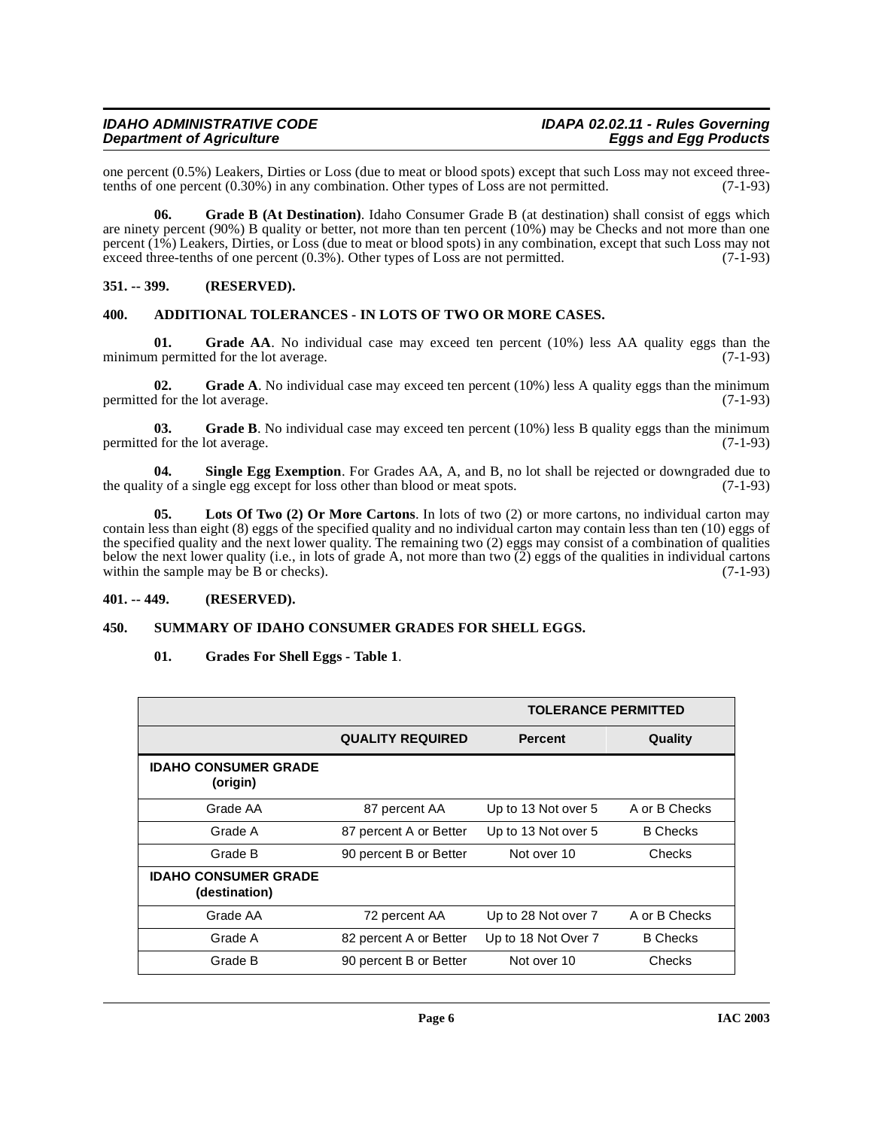#### **IDAHO ADMINISTRATIVE CODE IDAPA 02.02.11 - Rules Governing Department of Agriculture**

one percent  $(0.5\%)$  Leakers, Dirties or Loss (due to meat or blood spots) except that such Loss may not exceed three-<br>tenths of one percent  $(0.30\%)$  in any combination. Other types of Loss are not permitted.  $(7-1-93)$ tenths of one percent  $(0.30\%)$  in any combination. Other types of Loss are not permitted.

<span id="page-5-5"></span>**06. Grade B (At Destination)**. Idaho Consumer Grade B (at destination) shall consist of eggs which are ninety percent (90%) B quality or better, not more than ten percent (10%) may be Checks and not more than one percent  $(1\%)$  Leakers, Dirties, or Loss (due to meat or blood spots) in any combination, except that such Loss may not exceed three-tenths of one percent  $(0.3\%)$ . Other types of Loss are not permitted.  $(7-1-93)$ exceed three-tenths of one percent  $(0.3\%)$ . Other types of Loss are not permitted.

# <span id="page-5-0"></span>**351. -- 399. (RESERVED).**

#### <span id="page-5-4"></span><span id="page-5-1"></span>**400. ADDITIONAL TOLERANCES - IN LOTS OF TWO OR MORE CASES.**

**01.** Grade AA. No individual case may exceed ten percent (10%) less AA quality eggs than the n permitted for the lot average. (7-1-93) minimum permitted for the lot average.

**02.** Grade A. No individual case may exceed ten percent (10%) less A quality eggs than the minimum d for the lot average. (7-1-93) permitted for the lot average.

**03.** Grade B. No individual case may exceed ten percent (10%) less B quality eggs than the minimum permitted for the lot average. (7-1-93)

**04.** Single Egg Exemption. For Grades AA, A, and B, no lot shall be rejected or downgraded due to ty of a single egg except for loss other than blood or meat spots. (7-1-93) the quality of a single egg except for loss other than blood or meat spots.

**05. Lots Of Two (2) Or More Cartons**. In lots of two (2) or more cartons, no individual carton may contain less than eight (8) eggs of the specified quality and no individual carton may contain less than ten (10) eggs of the specified quality and the next lower quality. The remaining two (2) eggs may consist of a combination of qualities below the next lower quality (i.e., in lots of grade A, not more than two  $(2)$  eggs of the qualities in individual cartons within the sample may be B or checks). within the sample may be  $B$  or checks).

#### <span id="page-5-2"></span>**401. -- 449. (RESERVED).**

#### <span id="page-5-3"></span>**450. SUMMARY OF IDAHO CONSUMER GRADES FOR SHELL EGGS.**

#### <span id="page-5-7"></span><span id="page-5-6"></span>**01. Grades For Shell Eggs - Table 1**.

|                                              | <b>TOLERANCE PERMITTED</b> |                     |                 |
|----------------------------------------------|----------------------------|---------------------|-----------------|
|                                              | <b>QUALITY REQUIRED</b>    | <b>Percent</b>      | Quality         |
| <b>IDAHO CONSUMER GRADE</b><br>(origin)      |                            |                     |                 |
| Grade AA                                     | 87 percent AA              | Up to 13 Not over 5 | A or B Checks   |
| Grade A                                      | 87 percent A or Better     | Up to 13 Not over 5 | <b>B</b> Checks |
| Grade B                                      | 90 percent B or Better     | Not over 10         | Checks          |
| <b>IDAHO CONSUMER GRADE</b><br>(destination) |                            |                     |                 |
| Grade AA                                     | 72 percent AA              | Up to 28 Not over 7 | A or B Checks   |
| Grade A                                      | 82 percent A or Better     | Up to 18 Not Over 7 | <b>B</b> Checks |
| Grade B                                      | 90 percent B or Better     | Not over 10         | Checks          |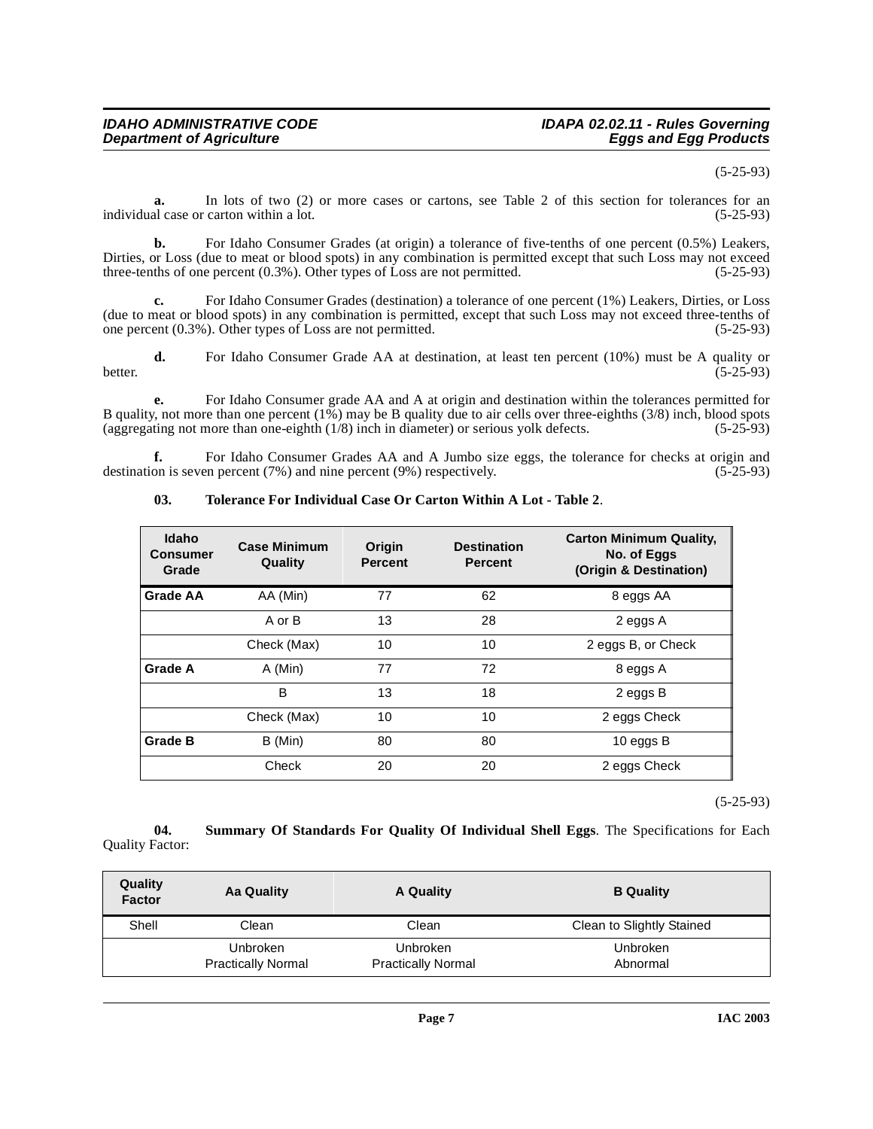#### (5-25-93)

**a.** In lots of two (2) or more cases or cartons, see Table 2 of this section for tolerances for an al case or carton within a lot. (5-25-93) individual case or carton within a lot.

**b.** For Idaho Consumer Grades (at origin) a tolerance of five-tenths of one percent (0.5%) Leakers, Dirties, or Loss (due to meat or blood spots) in any combination is permitted except that such Loss may not exceed three-tenths of one percent (0.3%). Other types of Loss are not permitted. (5-25-93) three-tenths of one percent  $(0.3\%)$ . Other types of Loss are not permitted.

**c.** For Idaho Consumer Grades (destination) a tolerance of one percent (1%) Leakers, Dirties, or Loss (due to meat or blood spots) in any combination is permitted, except that such Loss may not exceed three-tenths of one percent  $(0.3\%)$ . Other types of Loss are not permitted.  $(5-25-93)$ one percent  $(0.3\%)$ . Other types of Loss are not permitted.

**d.** For Idaho Consumer Grade AA at destination, at least ten percent (10%) must be A quality or better. (5-25-93)

**e.** For Idaho Consumer grade AA and A at origin and destination within the tolerances permitted for B quality, not more than one percent (1%) may be B quality due to air cells over three-eighths (3/8) inch, blood spots (aggregating not more than one-eighth (1/8) inch in diameter) or serious yolk defects. (5-25-93)

**f.** For Idaho Consumer Grades AA and A Jumbo size eggs, the tolerance for checks at origin and on is seven percent (7%) and nine percent (9%) respectively. (5-25-93) destination is seven percent  $(7%)$  and nine percent  $(9%)$  respectively.

| <b>Idaho</b><br>Consumer<br>Grade | <b>Case Minimum</b><br>Quality | Origin<br><b>Percent</b> | <b>Destination</b><br><b>Percent</b> | <b>Carton Minimum Quality,</b><br>No. of Eggs<br>(Origin & Destination) |
|-----------------------------------|--------------------------------|--------------------------|--------------------------------------|-------------------------------------------------------------------------|
| <b>Grade AA</b>                   | AA (Min)                       | 77                       | 62                                   | 8 eggs AA                                                               |
|                                   | A or B                         | 13                       | 28                                   | 2 eggs A                                                                |
|                                   | Check (Max)                    | 10                       | 10                                   | 2 eggs B, or Check                                                      |
| Grade A                           | A (Min)                        | 77                       | 72                                   | 8 eggs A                                                                |
|                                   | в                              | 13                       | 18                                   | 2 eggs B                                                                |
|                                   | Check (Max)                    | 10                       | 10                                   | 2 eggs Check                                                            |
| <b>Grade B</b>                    | B (Min)                        | 80                       | 80                                   | 10 eggs B                                                               |
|                                   | Check                          | 20                       | 20                                   | 2 eggs Check                                                            |

#### <span id="page-6-1"></span>**03. Tolerance For Individual Case Or Carton Within A Lot - Table 2**.

(5-25-93)

<span id="page-6-0"></span>**04. Summary Of Standards For Quality Of Individual Shell Eggs**. The Specifications for Each Quality Factor:

| Quality<br><b>Factor</b> | Aa Quality                                   | A Quality                                    | <b>B</b> Quality          |
|--------------------------|----------------------------------------------|----------------------------------------------|---------------------------|
| Shell                    | Clean                                        | Clean                                        | Clean to Slightly Stained |
|                          | <b>Unbroken</b><br><b>Practically Normal</b> | <b>Unbroken</b><br><b>Practically Normal</b> | Unbroken<br>Abnormal      |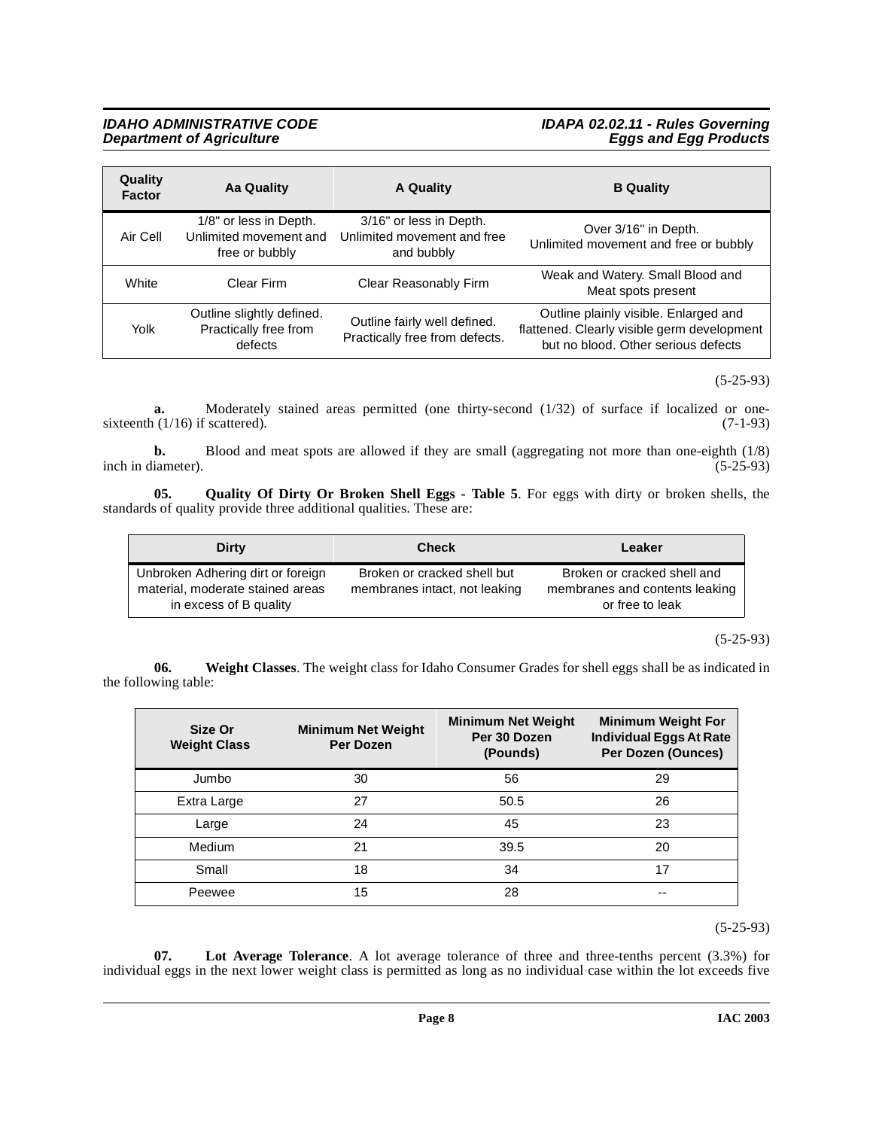# **IDAHO ADMINISTRATIVE CODE IDAPA 02.02.11 - Rules Governing Department of Agriculture Eggs and Egg Products**

| Quality<br><b>Factor</b> | Aa Quality                                                         | A Quality                                                            | <b>B</b> Quality                                                                                                            |
|--------------------------|--------------------------------------------------------------------|----------------------------------------------------------------------|-----------------------------------------------------------------------------------------------------------------------------|
| Air Cell                 | 1/8" or less in Depth.<br>Unlimited movement and<br>free or bubbly | 3/16" or less in Depth.<br>Unlimited movement and free<br>and bubbly | Over 3/16" in Depth.<br>Unlimited movement and free or bubbly                                                               |
| White                    | Clear Firm                                                         | Clear Reasonably Firm                                                | Weak and Watery. Small Blood and<br>Meat spots present                                                                      |
| Yolk                     | Outline slightly defined.<br>Practically free from<br>defects      | Outline fairly well defined.<br>Practically free from defects.       | Outline plainly visible. Enlarged and<br>flattened. Clearly visible germ development<br>but no blood. Other serious defects |

#### (5-25-93)

**a.** Moderately stained areas permitted (one thirty-second (1/32) of surface if localized or one-<br>(1/16) if scattered). (7-1-93) sixteenth  $(1/16)$  if scattered).

**b.** Blood and meat spots are allowed if they are small (aggregating not more than one-eighth (1/8) inch in diameter). (5-25-93)

**05. Quality Of Dirty Or Broken Shell Eggs - Table 5**. For eggs with dirty or broken shells, the standards of quality provide three additional qualities. These are:

<span id="page-7-1"></span>

| Dirty                                                                                           | <b>Check</b>                                                 | Leaker                                                                           |
|-------------------------------------------------------------------------------------------------|--------------------------------------------------------------|----------------------------------------------------------------------------------|
| Unbroken Adhering dirt or foreign<br>material, moderate stained areas<br>in excess of B quality | Broken or cracked shell but<br>membranes intact, not leaking | Broken or cracked shell and<br>membranes and contents leaking<br>or free to leak |

(5-25-93)

**06. Weight Classes**. The weight class for Idaho Consumer Grades for shell eggs shall be as indicated in the following table:

<span id="page-7-2"></span>

| Size Or<br><b>Weight Class</b> | <b>Minimum Net Weight</b><br><b>Per Dozen</b> | <b>Minimum Net Weight</b><br>Per 30 Dozen<br>(Pounds) | <b>Minimum Weight For</b><br><b>Individual Eggs At Rate</b><br>Per Dozen (Ounces) |
|--------------------------------|-----------------------------------------------|-------------------------------------------------------|-----------------------------------------------------------------------------------|
| Jumbo                          | 30                                            | 56                                                    | 29                                                                                |
| Extra Large                    | 27                                            | 50.5                                                  | 26                                                                                |
| Large                          | 24                                            | 45                                                    | 23                                                                                |
| Medium                         | 21                                            | 39.5                                                  | 20                                                                                |
| Small                          | 18                                            | 34                                                    | 17                                                                                |
| Peewee                         | 15                                            | 28                                                    | --                                                                                |

(5-25-93)

<span id="page-7-0"></span>**07. Lot Average Tolerance**. A lot average tolerance of three and three-tenths percent (3.3%) for individual eggs in the next lower weight class is permitted as long as no individual case within the lot exceeds five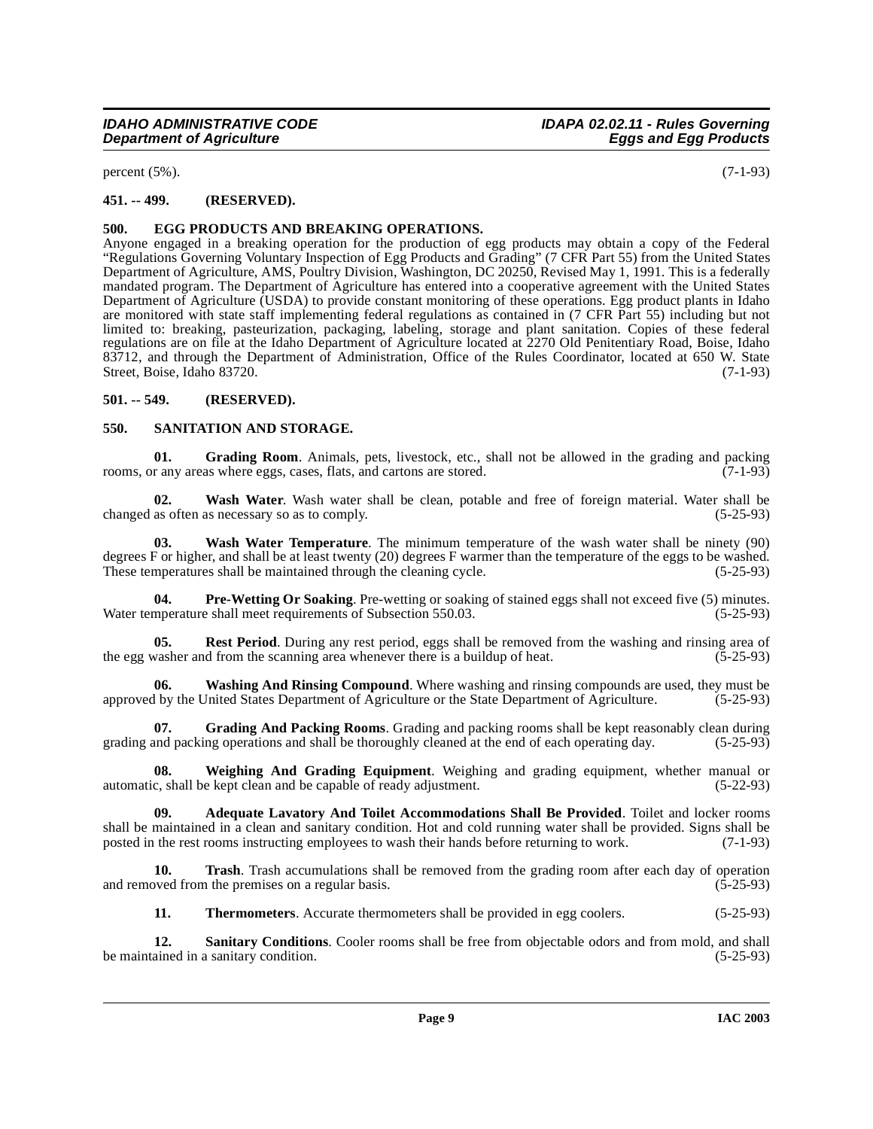percent  $(5\%)$ . (7-1-93)

# <span id="page-8-0"></span>**451. -- 499. (RESERVED).**

# <span id="page-8-4"></span><span id="page-8-1"></span>**500. EGG PRODUCTS AND BREAKING OPERATIONS.**

[Anyone engaged in a breaking operation for the production of egg products may obtain a copy of the Federal](http://www.access.gpo.gov/nara/cfr/waisidx_01/7cfrv3_01.html) "Regulations Governing Voluntary Inspection of Egg Products and Grading" (7 CFR Part 55) from the United States Department of Agriculture, AMS, Poultry Division, Washington, DC 20250, Revised May 1, 1991. This is a federally mandated program. The Department of Agriculture has entered into a cooperative agreement with the United States Department of Agriculture (USDA) to provide constant monitoring of these operations. Egg product plants in Idaho [are monitored with state staff implementing federal regulations as contained in \(7 CFR Part 55\) including but not](http://www.access.gpo.gov/nara/cfr/waisidx_01/7cfrv3_01.html) limited to: breaking, pasteurization, packaging, labeling, storage and plant sanitation. Copies of these federal [regulations are on file at the Idaho Department of Agriculture located at 2270 Old Penitentiary Road, Boise, Idaho](http://www.access.gpo.gov/nara/cfr/waisidx_01/7cfrv3_01.html) 83712, and through the Department of Administration, Office of the Rules Coordinator, located at 650 W. State Street, Boise, Idaho 83720. (7-1-93)

# <span id="page-8-2"></span>**501. -- 549. (RESERVED).**

#### <span id="page-8-8"></span><span id="page-8-3"></span>**550. SANITATION AND STORAGE.**

<span id="page-8-5"></span>**01.** Grading Room. Animals, pets, livestock, etc., shall not be allowed in the grading and packing r any areas where eggs. cases, flats, and cartons are stored. (7-1-93) rooms, or any areas where eggs, cases, flats, and cartons are stored.

<span id="page-8-10"></span>**02. Wash Water**. Wash water shall be clean, potable and free of foreign material. Water shall be changed as often as necessary so as to comply. (5-25-93)

<span id="page-8-9"></span>**03. Wash Water Temperature**. The minimum temperature of the wash water shall be ninety (90) degrees F or higher, and shall be at least twenty (20) degrees F warmer than the temperature of the eggs to be washed.<br>These temperatures shall be maintained through the cleaning cycle. (5-25-93) These temperatures shall be maintained through the cleaning cycle.

<span id="page-8-6"></span>**Pre-Wetting Or Soaking**. Pre-wetting or soaking of stained eggs shall not exceed five (5) minutes. Water temperature shall meet requirements of Subsection 550.03. (5-25-93)

**05. Rest Period**. During any rest period, eggs shall be removed from the washing and rinsing area of vasher and from the scanning area whenever there is a buildup of heat. (5-25-93) the egg washer and from the scanning area whenever there is a buildup of heat.

<span id="page-8-11"></span>**Washing And Rinsing Compound**. Where washing and rinsing compounds are used, they must be United States Department of Agriculture or the State Department of Agriculture. (5-25-93) approved by the United States Department of Agriculture or the State Department of Agriculture.

**07.** Grading And Packing Rooms. Grading and packing rooms shall be kept reasonably clean during and packing operations and shall be thoroughly cleaned at the end of each operating day. (5-25-93) grading and packing operations and shall be thoroughly cleaned at the end of each operating day.

<span id="page-8-12"></span>**08. Weighing And Grading Equipment**. Weighing and grading equipment, whether manual or automatic, shall be kept clean and be capable of ready adjustment. (5-22-93)

**09. Adequate Lavatory And Toilet Accommodations Shall Be Provided**. Toilet and locker rooms shall be maintained in a clean and sanitary condition. Hot and cold running water shall be provided. Signs shall be posted in the rest rooms instructing employees to wash their hands before returning to work. (7-1-93)

**10. Trash**. Trash accumulations shall be removed from the grading room after each day of operation ved from the premises on a regular basis. and removed from the premises on a regular basis.

<span id="page-8-7"></span>**11. Thermometers**. Accurate thermometers shall be provided in egg coolers. (5-25-93)

**12. Sanitary Conditions**. Cooler rooms shall be free from objectable odors and from mold, and shall ained in a sanitary condition. (5-25-93) be maintained in a sanitary condition.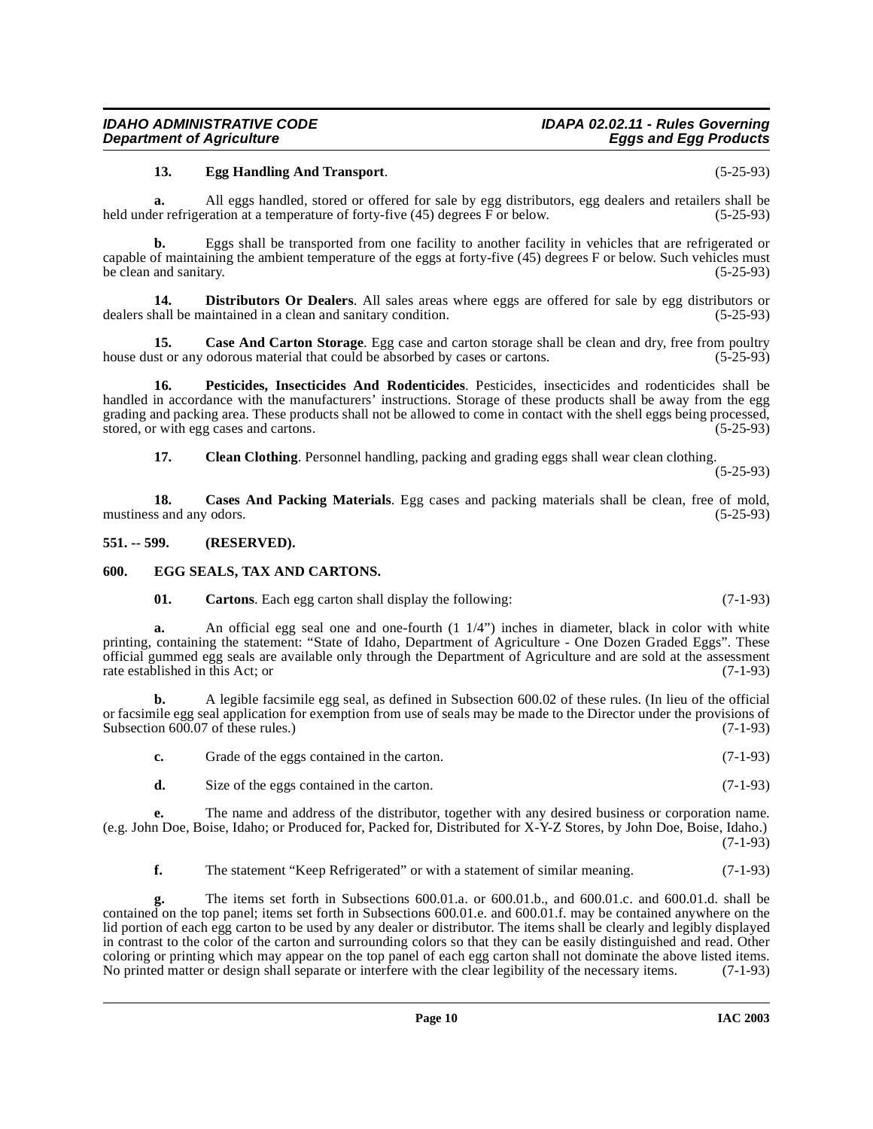# <span id="page-9-5"></span>**13. Egg Handling And Transport**. (5-25-93)

**a.** All eggs handled, stored or offered for sale by egg distributors, egg dealers and retailers shall be held under refrigeration at a temperature of forty-five (45) degrees  $\overline{F}$  or below. (5-25-93)

**b.** Eggs shall be transported from one facility to another facility in vehicles that are refrigerated or capable of maintaining the ambient temperature of the eggs at forty-five (45) degrees F or below. Such vehicles must<br>be clean and sanitary. (5-25-93) be clean and sanitary.

<span id="page-9-4"></span>**14. Distributors Or Dealers**. All sales areas where eggs are offered for sale by egg distributors or dealers shall be maintained in a clean and sanitary condition. (5-25-93)

<span id="page-9-3"></span>**15.** Case And Carton Storage. Egg case and carton storage shall be clean and dry, free from poultry st or any odorous material that could be absorbed by cases or cartons. (5-25-93) house dust or any odorous material that could be absorbed by cases or cartons.

**16. Pesticides, Insecticides And Rodenticides**. Pesticides, insecticides and rodenticides shall be handled in accordance with the manufacturers' instructions. Storage of these products shall be away from the egg grading and packing area. These products shall not be allowed to come in contact with the shell eggs being processed, stored, or with egg cases and cartons. (5-25-93)

<span id="page-9-7"></span>**17. Clean Clothing**. Personnel handling, packing and grading eggs shall wear clean clothing.

(5-25-93)

**18. Cases And Packing Materials**. Egg cases and packing materials shall be clean, free of mold, mustiness and any odors. (5-25-93)

#### <span id="page-9-0"></span>**551. -- 599. (RESERVED).**

#### <span id="page-9-1"></span>**600. EGG SEALS, TAX AND CARTONS.**

<span id="page-9-6"></span><span id="page-9-2"></span>**01. Cartons**. Each egg carton shall display the following: (7-1-93)

**a.** An official egg seal one and one-fourth  $(1 \frac{1}{4})$  inches in diameter, black in color with white printing, containing the statement: "State of Idaho, Department of Agriculture - One Dozen Graded Eggs". These official gummed egg seals are available only through the Department of Agriculture and are sold at the assessment rate established in this Act; or

**b.** A legible facsimile egg seal, as defined in Subsection 600.02 of these rules. (In lieu of the official or facsimile egg seal application for exemption from use of seals may be made to the Director under the provisions of Subsection 600.07 of these rules.) (7-1-93) Subsection  $600.07$  of these rules.)

| Grade of the eggs contained in the carton. | $(7-1-93)$ |
|--------------------------------------------|------------|
| Size of the eggs contained in the carton.  | $(7-1-93)$ |

**e.** The name and address of the distributor, together with any desired business or corporation name. (e.g. John Doe, Boise, Idaho; or Produced for, Packed for, Distributed for X-Y-Z Stores, by John Doe, Boise, Idaho.) (7-1-93)

**f.** The statement "Keep Refrigerated" or with a statement of similar meaning. (7-1-93)

**g.** The items set forth in Subsections 600.01.a. or 600.01.b., and 600.01.c. and 600.01.d. shall be contained on the top panel; items set forth in Subsections 600.01.e. and 600.01.f. may be contained anywhere on the lid portion of each egg carton to be used by any dealer or distributor. The items shall be clearly and legibly displayed in contrast to the color of the carton and surrounding colors so that they can be easily distinguished and read. Other coloring or printing which may appear on the top panel of each egg carton shall not dominate the above listed items. No printed matter or design shall separate or interfere with the clear legibility of the necessary items. (7-1-93)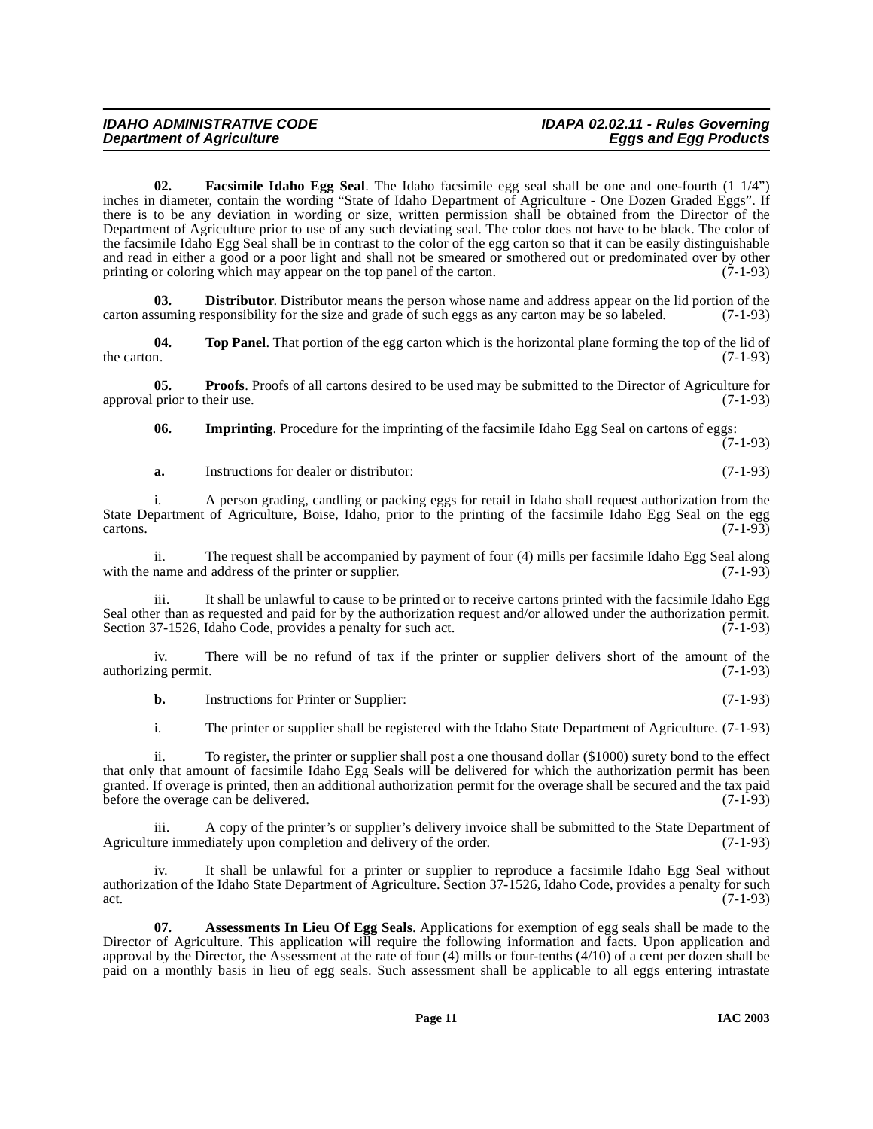<span id="page-10-1"></span>**02. Facsimile Idaho Egg Seal**. The Idaho facsimile egg seal shall be one and one-fourth (1 1/4") inches in diameter, contain the wording "State of Idaho Department of Agriculture - One Dozen Graded Eggs". If there is to be any deviation in wording or size, written permission shall be obtained from the Director of the Department of Agriculture prior to use of any such deviating seal. The color does not have to be black. The color of the facsimile Idaho Egg Seal shall be in contrast to the color of the egg carton so that it can be easily distinguishable and read in either a good or a poor light and shall not be smeared or smothered out or predominated over by other printing or coloring which may appear on the top panel of the carton. (7-1-93) printing or coloring which may appear on the top panel of the carton.

**Distributor**. Distributor means the person whose name and address appear on the lid portion of the carton assuming responsibility for the size and grade of such eggs as any carton may be so labeled. (7-1-93)

<span id="page-10-3"></span>**04.** Top Panel. That portion of the egg carton which is the horizontal plane forming the top of the lid of the carton. (7-1-93) the carton.  $(7-1-93)$ 

**05. Proofs**. Proofs of all cartons desired to be used may be submitted to the Director of Agriculture for prior to their use. (7-1-93) approval prior to their use.

<span id="page-10-2"></span>**06. Imprinting**. Procedure for the imprinting of the facsimile Idaho Egg Seal on cartons of eggs:

(7-1-93)

**a.** Instructions for dealer or distributor: (7-1-93)

i. A person grading, candling or packing eggs for retail in Idaho shall request authorization from the State Department of Agriculture, Boise, Idaho, prior to the printing of the facsimile Idaho Egg Seal on the egg  $(7-1-93)$ 

ii. The request shall be accompanied by payment of four (4) mills per facsimile Idaho Egg Seal along name and address of the printer or supplier. (7-1-93) with the name and address of the printer or supplier.

iii. It shall be unlawful to cause to be printed or to receive cartons printed with the facsimile Idaho Egg Seal other than as requested and paid for by the authorization request and/or allowed under the authorization permit. Section 37-1526, Idaho Code, provides a penalty for such act. (7-1-93)

iv. There will be no refund of tax if the printer or supplier delivers short of the amount of the authorizing permit. (7-1-93)

**b.** Instructions for Printer or Supplier: (7-1-93)

i. The printer or supplier shall be registered with the Idaho State Department of Agriculture. (7-1-93)

ii. To register, the printer or supplier shall post a one thousand dollar (\$1000) surety bond to the effect that only that amount of facsimile Idaho Egg Seals will be delivered for which the authorization permit has been granted. If overage is printed, then an additional authorization permit for the overage shall be secured and the tax paid before the overage can be delivered. (7-1-93)

iii. A copy of the printer's or supplier's delivery invoice shall be submitted to the State Department of Agriculture immediately upon completion and delivery of the order. (7-1-93)

It shall be unlawful for a printer or supplier to reproduce a facsimile Idaho Egg Seal without authorization of the Idaho State Department of Agriculture. Section 37-1526, Idaho Code, provides a penalty for such act.  $(7-1-93)$ 

<span id="page-10-0"></span>**07. Assessments In Lieu Of Egg Seals**. Applications for exemption of egg seals shall be made to the Director of Agriculture. This application will require the following information and facts. Upon application and approval by the Director, the Assessment at the rate of four (4) mills or four-tenths (4/10) of a cent per dozen shall be paid on a monthly basis in lieu of egg seals. Such assessment shall be applicable to all eggs entering intrastate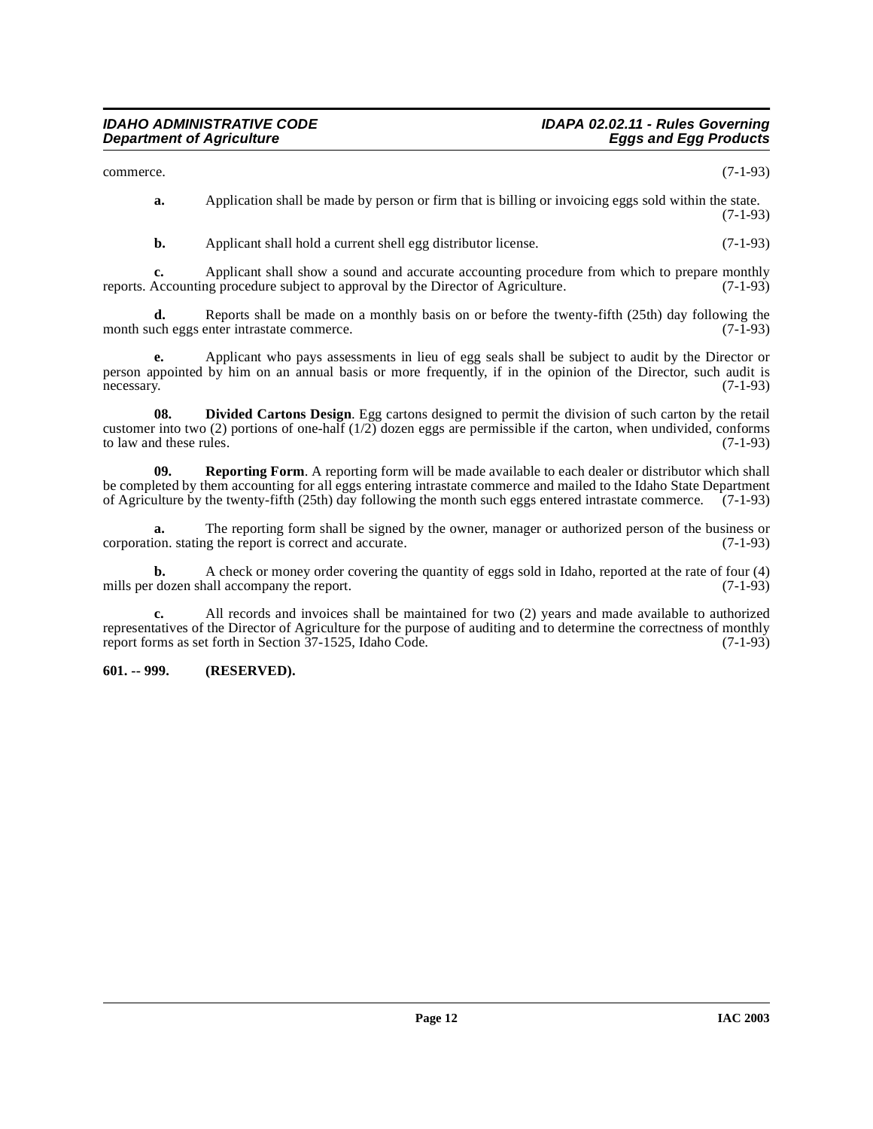commerce. (7-1-93)

**a.** Application shall be made by person or firm that is billing or invoicing eggs sold within the state.  $(7-1-93)$ 

**b.** Applicant shall hold a current shell egg distributor license. (7-1-93)

**c.** Applicant shall show a sound and accurate accounting procedure from which to prepare monthly Accounting procedure subject to approval by the Director of Agriculture. (7-1-93) reports. Accounting procedure subject to approval by the Director of Agriculture.

**d.** Reports shall be made on a monthly basis on or before the twenty-fifth (25th) day following the uch eggs enter intrastate commerce. (7-1-93) month such eggs enter intrastate commerce.

**e.** Applicant who pays assessments in lieu of egg seals shall be subject to audit by the Director or person appointed by him on an annual basis or more frequently, if in the opinion of the Director, such audit is necessary. (7-1-93)

<span id="page-11-1"></span>**08. Divided Cartons Design**. Egg cartons designed to permit the division of such carton by the retail customer into two (2) portions of one-half (1/2) dozen eggs are permissible if the carton, when undivided, conforms to law and these rules.  $(7-1-93)$ 

**09. Reporting Form**. A reporting form will be made available to each dealer or distributor which shall be completed by them accounting for all eggs entering intrastate commerce and mailed to the Idaho State Department of Agriculture by the twenty-fifth (25th) day following the month such eggs entered intrastate commerce. (7-1-93)

**a.** The reporting form shall be signed by the owner, manager or authorized person of the business or ion. stating the report is correct and accurate. (7-1-93) corporation. stating the report is correct and accurate.

**b.** A check or money order covering the quantity of eggs sold in Idaho, reported at the rate of four (4) mills per dozen shall accompany the report. (7-1-93)

**c.** All records and invoices shall be maintained for two (2) years and made available to authorized representatives of the Director of Agriculture for the purpose of auditing and to determine the correctness of monthly report forms as set forth in Section 37-1525, Idaho Code. (7-1-93)

# <span id="page-11-0"></span>**601. -- 999. (RESERVED).**